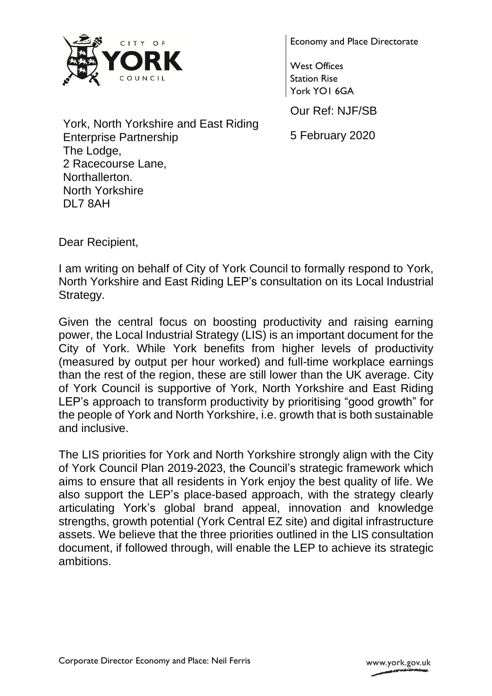

Economy and Place Directorate

West Offices Station Rise York YO1 6GA

Our Ref: NJF/SB

5 February 2020

York, North Yorkshire and East Riding Enterprise Partnership The Lodge, 2 Racecourse Lane, Northallerton. North Yorkshire DL7 8AH

Dear Recipient,

I am writing on behalf of City of York Council to formally respond to York, North Yorkshire and East Riding LEP's consultation on its Local Industrial Strategy.

Given the central focus on boosting productivity and raising earning power, the Local Industrial Strategy (LIS) is an important document for the City of York. While York benefits from higher levels of productivity (measured by output per hour worked) and full-time workplace earnings than the rest of the region, these are still lower than the UK average. City of York Council is supportive of York, North Yorkshire and East Riding LEP's approach to transform productivity by prioritising "good growth" for the people of York and North Yorkshire, i.e. growth that is both sustainable and inclusive.

The LIS priorities for York and North Yorkshire strongly align with the City of York Council Plan 2019-2023, the Council's strategic framework which aims to ensure that all residents in York enjoy the best quality of life. We also support the LEP's place-based approach, with the strategy clearly articulating York's global brand appeal, innovation and knowledge strengths, growth potential (York Central EZ site) and digital infrastructure assets. We believe that the three priorities outlined in the LIS consultation document, if followed through, will enable the LEP to achieve its strategic ambitions.

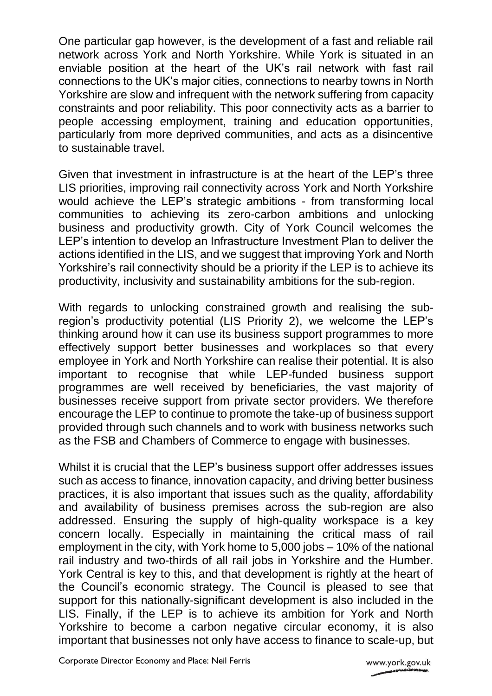One particular gap however, is the development of a fast and reliable rail network across York and North Yorkshire. While York is situated in an enviable position at the heart of the UK's rail network with fast rail connections to the UK's major cities, connections to nearby towns in North Yorkshire are slow and infrequent with the network suffering from capacity constraints and poor reliability. This poor connectivity acts as a barrier to people accessing employment, training and education opportunities, particularly from more deprived communities, and acts as a disincentive to sustainable travel.

Given that investment in infrastructure is at the heart of the LEP's three LIS priorities, improving rail connectivity across York and North Yorkshire would achieve the LEP's strategic ambitions - from transforming local communities to achieving its zero-carbon ambitions and unlocking business and productivity growth. City of York Council welcomes the LEP's intention to develop an Infrastructure Investment Plan to deliver the actions identified in the LIS, and we suggest that improving York and North Yorkshire's rail connectivity should be a priority if the LEP is to achieve its productivity, inclusivity and sustainability ambitions for the sub-region.

With regards to unlocking constrained growth and realising the subregion's productivity potential (LIS Priority 2), we welcome the LEP's thinking around how it can use its business support programmes to more effectively support better businesses and workplaces so that every employee in York and North Yorkshire can realise their potential. It is also important to recognise that while LEP-funded business support programmes are well received by beneficiaries, the vast majority of businesses receive support from private sector providers. We therefore encourage the LEP to continue to promote the take-up of business support provided through such channels and to work with business networks such as the FSB and Chambers of Commerce to engage with businesses.

Whilst it is crucial that the LEP's business support offer addresses issues such as access to finance, innovation capacity, and driving better business practices, it is also important that issues such as the quality, affordability and availability of business premises across the sub-region are also addressed. Ensuring the supply of high-quality workspace is a key concern locally. Especially in maintaining the critical mass of rail employment in the city, with York home to 5,000 jobs – 10% of the national rail industry and two-thirds of all rail jobs in Yorkshire and the Humber. York Central is key to this, and that development is rightly at the heart of the Council's economic strategy. The Council is pleased to see that support for this nationally-significant development is also included in the LIS. Finally, if the LEP is to achieve its ambition for York and North Yorkshire to become a carbon negative circular economy, it is also important that businesses not only have access to finance to scale-up, but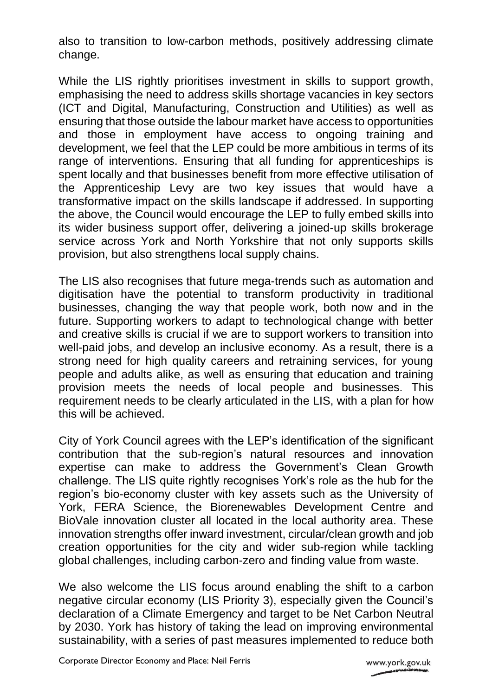also to transition to low-carbon methods, positively addressing climate change.

While the LIS rightly prioritises investment in skills to support growth, emphasising the need to address skills shortage vacancies in key sectors (ICT and Digital, Manufacturing, Construction and Utilities) as well as ensuring that those outside the labour market have access to opportunities and those in employment have access to ongoing training and development, we feel that the LEP could be more ambitious in terms of its range of interventions. Ensuring that all funding for apprenticeships is spent locally and that businesses benefit from more effective utilisation of the Apprenticeship Levy are two key issues that would have a transformative impact on the skills landscape if addressed. In supporting the above, the Council would encourage the LEP to fully embed skills into its wider business support offer, delivering a joined-up skills brokerage service across York and North Yorkshire that not only supports skills provision, but also strengthens local supply chains.

The LIS also recognises that future mega-trends such as automation and digitisation have the potential to transform productivity in traditional businesses, changing the way that people work, both now and in the future. Supporting workers to adapt to technological change with better and creative skills is crucial if we are to support workers to transition into well-paid jobs, and develop an inclusive economy. As a result, there is a strong need for high quality careers and retraining services, for young people and adults alike, as well as ensuring that education and training provision meets the needs of local people and businesses. This requirement needs to be clearly articulated in the LIS, with a plan for how this will be achieved.

City of York Council agrees with the LEP's identification of the significant contribution that the sub-region's natural resources and innovation expertise can make to address the Government's Clean Growth challenge. The LIS quite rightly recognises York's role as the hub for the region's bio-economy cluster with key assets such as the University of York, FERA Science, the Biorenewables Development Centre and BioVale innovation cluster all located in the local authority area. These innovation strengths offer inward investment, circular/clean growth and job creation opportunities for the city and wider sub-region while tackling global challenges, including carbon-zero and finding value from waste.

We also welcome the LIS focus around enabling the shift to a carbon negative circular economy (LIS Priority 3), especially given the Council's declaration of a Climate Emergency and target to be Net Carbon Neutral by 2030. York has history of taking the lead on improving environmental sustainability, with a series of past measures implemented to reduce both